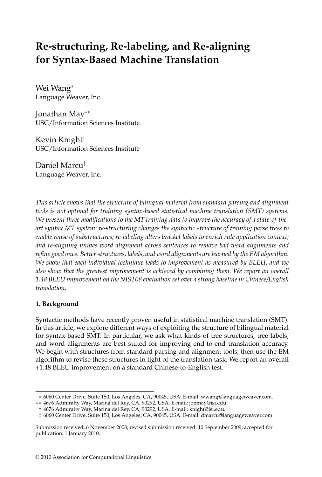# **Re-structuring, Re-labeling, and Re-aligning for Syntax-Based Machine Translation**

Wei Wang<sup>∗</sup> Language Weaver, Inc.

Jonathan May∗∗ USC/Information Sciences Institute

Kevin Knight† USC/Information Sciences Institute

Daniel Marcu‡ Language Weaver, Inc.

*This article shows that the structure of bilingual material from standard parsing and alignment tools is not optimal for training syntax-based statistical machine translation (SMT) systems. We present three modifications to the MT training data to improve the accuracy of a state-of-theart syntax MT system:re-structuring changes the syntactic structure of training parse trees to enable reuse of substructures; re-labeling alters bracket labels to enrich rule application context; and re-aligning unifies word alignment across sentences to remove bad word alignments and refine good ones. Better structures, labels, and word alignments are learned by the EM algorithm. We show that each individual technique leads to improvement as measured by BLEU, and we also show that the greatest improvement is achieved by combining them. We report an overall 1.48 BLEU improvement on the NIST08 evaluation set over a strong baseline in Chinese/English translation.*

# **1. Background**

Syntactic methods have recently proven useful in statistical machine translation (SMT). In this article, we explore different ways of exploiting the structure of bilingual material for syntax-based SMT. In particular, we ask what kinds of tree structures, tree labels, and word alignments are best suited for improving end-to-end translation accuracy. We begin with structures from standard parsing and alignment tools, then use the EM algorithm to revise these structures in light of the translation task. We report an overall +1.48 BLEU improvement on a standard Chinese-to-English test.

<sup>∗</sup> 6060 Center Drive, Suite 150, Los Angeles, CA, 90045, USA. E-mail: wwang@languageweaver.com.

<sup>∗∗</sup> 4676 Admiralty Way, Marina del Rey, CA, 90292, USA. E-mail: jonmay@isi.edu.

<sup>†</sup> 4676 Admiralty Way, Marina del Rey, CA, 90292, USA. E-mail: knight@isi.edu.

<sup>‡</sup> 6060 Center Drive, Suite 150, Los Angeles, CA, 90045, USA. E-mail: dmarcu@languageweaver.com.

Submission received: 6 November 2008; revised submission received: 10 September 2009; accepted for publication: 1 January 2010.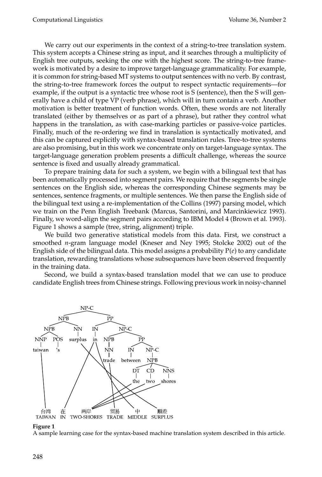We carry out our experiments in the context of a string-to-tree translation system. This system accepts a Chinese string as input, and it searches through a multiplicity of English tree outputs, seeking the one with the highest score. The string-to-tree framework is motivated by a desire to improve target-language grammaticality. For example, it is common for string-based MT systems to output sentences with no verb. By contrast, the string-to-tree framework forces the output to respect syntactic requirements—for example, if the output is a syntactic tree whose root is S (sentence), then the S will generally have a child of type VP (verb phrase), which will in turn contain a verb. Another motivation is better treatment of function words. Often, these words are not literally translated (either by themselves or as part of a phrase), but rather they control what happens in the translation, as with case-marking particles or passive-voice particles. Finally, much of the re-ordering we find in translation is syntactically motivated, and this can be captured explicitly with syntax-based translation rules. Tree-to-tree systems are also promising, but in this work we concentrate only on target-language syntax. The target-language generation problem presents a difficult challenge, whereas the source sentence is fixed and usually already grammatical.

To prepare training data for such a system, we begin with a bilingual text that has been automatically processed into segment pairs. We require that the segments be single sentences on the English side, whereas the corresponding Chinese segments may be sentences, sentence fragments, or multiple sentences. We then parse the English side of the bilingual text using a re-implementation of the Collins (1997) parsing model, which we train on the Penn English Treebank (Marcus, Santorini, and Marcinkiewicz 1993). Finally, we word-align the segment pairs according to IBM Model 4 (Brown et al. 1993). Figure 1 shows a sample (tree, string, alignment) triple.

We build two generative statistical models from this data. First, we construct a smoothed *n*-gram language model (Kneser and Ney 1995; Stolcke 2002) out of the English side of the bilingual data. This model assigns a probability P(*e*) to any candidate translation, rewarding translations whose subsequences have been observed frequently in the training data.

Second, we build a syntax-based translation model that we can use to produce candidate English trees from Chinese strings. Following previous work in noisy-channel



#### **Figure 1**

A sample learning case for the syntax-based machine translation system described in this article.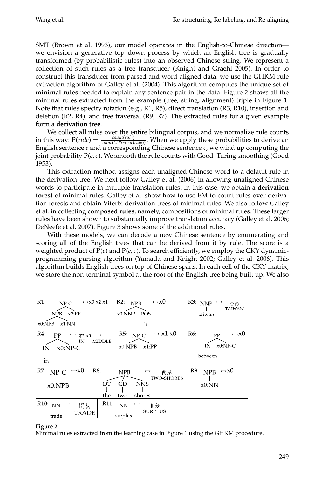SMT (Brown et al. 1993), our model operates in the English-to-Chinese direction we envision a generative top–down process by which an English tree is gradually transformed (by probabilistic rules) into an observed Chinese string. We represent a collection of such rules as a tree transducer (Knight and Graehl 2005). In order to construct this transducer from parsed and word-aligned data, we use the GHKM rule extraction algorithm of Galley et al. (2004). This algorithm computes the unique set of **minimal rules** needed to explain any sentence pair in the data. Figure 2 shows all the minimal rules extracted from the example (tree, string, alignment) triple in Figure 1. Note that rules specify rotation (e.g., R1, R5), direct translation (R3, R10), insertion and deletion (R2, R4), and tree traversal (R9, R7). The extracted rules for a given example form a **derivation tree**.

We collect all rules over the entire bilingual corpus, and we normalize rule counts in this way:  $P(\textit{rule}) = \frac{\textit{count}(\textit{rule})}{2}{{\textit{count}(\textit{LLHS-root}(\textit{rule}))}}$ . When we apply these probabilities to derive an English sentence *e* and a corresponding Chinese sentence *c*, we wind up computing the joint probability P(*e*, *c*). We smooth the rule counts with Good–Turing smoothing (Good 1953).

This extraction method assigns each unaligned Chinese word to a default rule in the derivation tree. We next follow Galley et al. (2006) in allowing unaligned Chinese words to participate in multiple translation rules. In this case, we obtain a **derivation forest** of minimal rules. Galley et al. show how to use EM to count rules over derivation forests and obtain Viterbi derivation trees of minimal rules. We also follow Galley et al. in collecting **composed rules**, namely, compositions of minimal rules. These larger rules have been shown to substantially improve translation accuracy (Galley et al. 2006; DeNeefe et al. 2007). Figure 3 shows some of the additional rules.

With these models, we can decode a new Chinese sentence by enumerating and scoring all of the English trees that can be derived from it by rule. The score is a weighted product of P(*e*) and P(*e*, *c*). To search efficiently, we employ the CKY dynamicprogramming parsing algorithm (Yamada and Knight 2002; Galley et al. 2006). This algorithm builds English trees on topof Chinese spans. In each cell of the CKY matrix, we store the non-terminal symbol at the root of the English tree being built up. We also

| R1:<br>$\leftrightarrow$ x0 x2 x1<br>$NP-C$<br>$NPB$ $\times$ 2:PP<br>$x0:\mathbf{NPB}$<br>x1:NN    | $R2:$ NPB<br>x0:NNP POS                        | $\leftrightarrow \times 0$<br>$\mathbf{z}'$                          | R3: $NNP \leftrightarrow$<br>台湾<br><b>TAIWAN</b><br>taiwan      |
|-----------------------------------------------------------------------------------------------------|------------------------------------------------|----------------------------------------------------------------------|-----------------------------------------------------------------|
| $R4$ :<br>$\leftrightarrow$ $\pm$ x0 $\parallel$<br><b>PP</b><br>IN<br>$x0:\text{NP}-C$<br>IN<br>in | $R5:$ NP-C<br><b>MIDDLE</b><br>$x0:\text{NPB}$ | $\leftrightarrow$ x1 x0<br>x1:PP                                     | R6:<br>$\leftrightarrow$ x0<br>PP<br>$x0:NP-C$<br>IN<br>between |
| R8:<br>R7: $NP-C \leftrightarrow X0$<br>$x0:\text{NPB}$                                             | <b>NPB</b><br>CD.<br>the<br>two                | $\leftrightarrow$<br>两岸<br><b>TWO-SHORES</b><br><b>NNS</b><br>shores | $R9:$ NPB<br>$\leftrightarrow$ x0<br>x0:NN                      |
| R10: $_{NN} \leftrightarrow$<br>贸易<br>TRADE<br>trade                                                | R11:<br>NN<br>surplus                          | $\leftrightarrow$<br>顺差<br><b>SURPLUS</b>                            |                                                                 |

**Figure 2**

Minimal rules extracted from the learning case in Figure 1 using the GHKM procedure.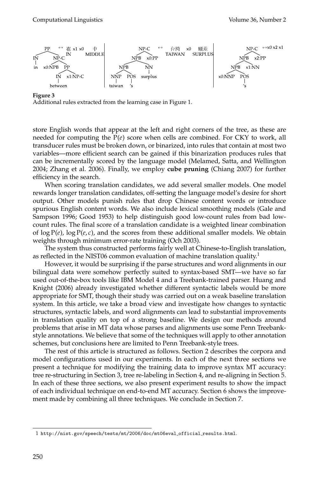

**Figure 3**

Additional rules extracted from the learning case in Figure 1.

store English words that appear at the left and right corners of the tree, as these are needed for computing the  $P(e)$  score when cells are combined. For CKY to work, all transducer rules must be broken down, or binarized, into rules that contain at most two variables—more efficient search can be gained if this binarization produces rules that can be incrementally scored by the language model (Melamed, Satta, and Wellington 2004; Zhang et al. 2006). Finally, we employ **cube pruning** (Chiang 2007) for further efficiency in the search.

When scoring translation candidates, we add several smaller models. One model rewards longer translation candidates, off-setting the language model's desire for short output. Other models punish rules that drop Chinese content words or introduce spurious English content words. We also include lexical smoothing models (Gale and Sampson 1996; Good 1953) to help distinguish good low-count rules from bad lowcount rules. The final score of a translation candidate is a weighted linear combination of  $\log P(e)$ ,  $\log P(e, c)$ , and the scores from these additional smaller models. We obtain weights through minimum error-rate training (Och 2003).

The system thus constructed performs fairly well at Chinese-to-English translation, as reflected in the NIST06 common evaluation of machine translation quality.<sup>1</sup>

However, it would be surprising if the parse structures and word alignments in our bilingual data were somehow perfectly suited to syntax-based SMT—we have so far used out-of-the-box tools like IBM Model 4 and a Treebank-trained parser. Huang and Knight (2006) already investigated whether different syntactic labels would be more appropriate for SMT, though their study was carried out on a weak baseline translation system. In this article, we take a broad view and investigate how changes to syntactic structures, syntactic labels, and word alignments can lead to substantial improvements in translation quality on top of a strong baseline. We design our methods around problems that arise in MT data whose parses and alignments use some Penn Treebankstyle annotations. We believe that some of the techniques will apply to other annotation schemes, but conclusions here are limited to Penn Treebank-style trees.

The rest of this article is structured as follows. Section 2 describes the corpora and model configurations used in our experiments. In each of the next three sections we present a technique for modifying the training data to improve syntax MT accuracy: tree re-structuring in Section 3, tree re-labeling in Section 4, and re-aligning in Section 5. In each of these three sections, we also present experiment results to show the impact of each individual technique on end-to-end MT accuracy. Section 6 shows the improvement made by combining all three techniques. We conclude in Section 7.

<sup>1</sup> http://nist.gov/speech/tests/mt/2006/doc/mt06eval official results.html.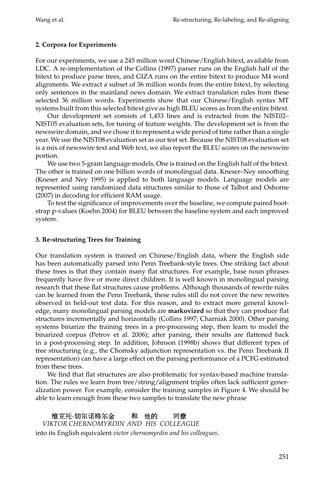# **2. Corpora for Experiments**

For our experiments, we use a 245 million word Chinese/English bitext, available from LDC. A re-implementation of the Collins (1997) parser runs on the English half of the bitext to produce parse trees, and GIZA runs on the entire bitext to produce M4 word alignments. We extract a subset of 36 million words from the entire bitext, by selecting only sentences in the mainland news domain. We extract translation rules from these selected 36 million words. Experiments show that our Chinese/English syntax MT systems built from this selected bitext give as high BLEU scores as from the entire bitext.

Our development set consists of 1,453 lines and is extracted from the NIST02– NIST05 evaluation sets, for tuning of feature weights. The development set is from the newswire domain, and we chose it to represent a wide period of time rather than a single year. We use the NIST08 evaluation set as our test set. Because the NIST08 evaluation set is a mix of newswire text and Web text, we also report the BLEU scores on the newswire portion.

We use two 5-gram language models. One is trained on the English half of the bitext. The other is trained on one billion words of monolingual data. Kneser–Ney smoothing (Kneser and Ney 1995) is applied to both language models. Language models are represented using randomized data structures similar to those of Talbot and Osborne (2007) in decoding for efficient RAM usage.

To test the significance of improvements over the baseline, we compute paired bootstrap p-values (Koehn 2004) for BLEU between the baseline system and each improved system.

### **3. Re-structuring Trees for Training**

Our translation system is trained on Chinese/English data, where the English side has been automatically parsed into Penn Treebank-style trees. One striking fact about these trees is that they contain many flat structures. For example, base noun phrases frequently have five or more direct children. It is well known in monolingual parsing research that these flat structures cause problems. Although thousands of rewrite rules can be learned from the Penn Treebank, these rules still do not cover the new rewrites observed in held-out test data. For this reason, and to extract more general knowledge, many monolingual parsing models are **markovized** so that they can produce flat structures incrementally and horizontally (Collins 1997; Charniak 2000). Other parsing systems binarize the training trees in a pre-processing step, then learn to model the binarized corpus (Petrov et al. 2006); after parsing, their results are flattened back in a post-processing step. In addition, Johnson (1998b) shows that different types of tree structuring (e.g., the Chomsky adjunction representation vs. the Penn Treebank II representation) can have a large effect on the parsing performance of a PCFG estimated from these trees.

We find that flat structures are also problematic for syntax-based machine translation. The rules we learn from tree/string/alignment triples often lack sufficient generalization power. For example, consider the training samples in Figure 4. We should be able to learn enough from these two samples to translate the new phrase

维克托-切尔诺梅尔金 和 他的 同僚 *VIKTOR CHERNOMYRDIN AND HIS COLLEAGUE* into its English equivalent *victor chernomyrdin and his colleagues*.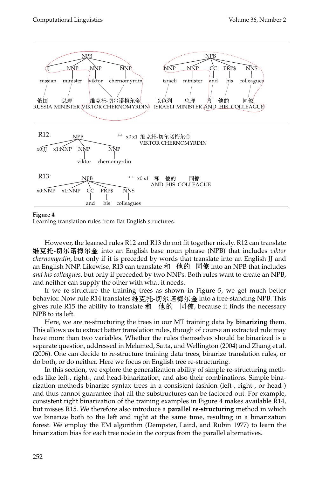

#### **Figure 4**

Learning translation rules from flat English structures.

However, the learned rules R12 and R13 do not fit together nicely. R12 can translate .W-#L into an English base noun phrase (NPB) that includes *viktor chernomyrdin*, but only if it is preceded by words that translate into an English JJ and an English NNP. Likewise, R13 can translate 和 他的 同僚 into an NPB that includes *and his colleagues*, but only if preceded by two NNPs. Both rules want to create an NPB, and neither can supply the other with what it needs.

If we re-structure the training trees as shown in Figure 5, we get much better behavior. Now rule R14 translates 维克托-切尔诺梅尔金 into a free-standing NPB. This gives rule R15 the ability to translate 和 他的 同僚, because it finds the necessary gives rule R15 the ability to translate 和 他的 NPB to its left.

Here, we are re-structuring the trees in our MT training data by **binarizing** them. This allows us to extract better translation rules, though of course an extracted rule may have more than two variables. Whether the rules themselves should be binarized is a separate question, addressed in Melamed, Satta, and Wellington (2004) and Zhang et al. (2006). One can decide to re-structure training data trees, binarize translation rules, or do both, or do neither. Here we focus on English tree re-structuring.

In this section, we explore the generalization ability of simple re-structuring methods like left-, right-, and head-binarization, and also their combinations. Simple binarization methods binarize syntax trees in a consistent fashion (left-, right-, or head-) and thus cannot guarantee that all the substructures can be factored out. For example, consistent right binarization of the training examples in Figure 4 makes available R14, but misses R15. We therefore also introduce a **parallel re-structuring** method in which we binarize both to the left and right at the same time, resulting in a binarization forest. We employ the EM algorithm (Dempster, Laird, and Rubin 1977) to learn the binarization bias for each tree node in the corpus from the parallel alternatives.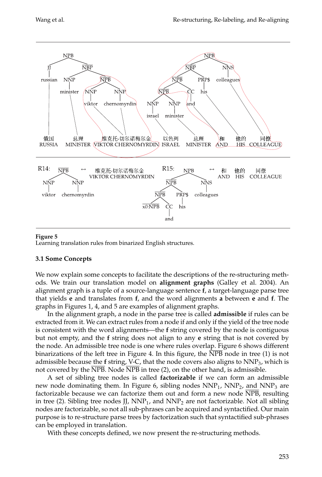

#### **Figure 5** Learning translation rules from binarized English structures.

### **3.1 Some Concepts**

We now explain some concepts to facilitate the descriptions of the re-structuring methods. We train our translation model on **alignment graphs** (Galley et al. 2004). An alignment graph is a tuple of a source-language sentence **f**, a target-language parse tree that yields **e** and translates from **f**, and the word alignments **a** between **e** and **f**. The graphs in Figures 1, 4, and 5 are examples of alignment graphs.

In the alignment graph, a node in the parse tree is called **admissible** if rules can be extracted from it. We can extract rules from a node if and only if the yield of the tree node is consistent with the word alignments—the **f** string covered by the node is contiguous but not empty, and the **f** string does not align to any **e** string that is not covered by the node. An admissible tree node is one where rules overlap. Figure 6 shows different binarizations of the left tree in Figure 4. In this figure, the NPB node in tree (1) is not admissible because the **f** string, V-C, that the node covers also aligns to  $NNP_3$ , which is not covered by the  $\overline{\text{NPB}}$ . Node  $\overline{\text{NPB}}$  in tree (2), on the other hand, is admissible.

A set of sibling tree nodes is called **factorizable** if we can form an admissible new node dominating them. In Figure 6, sibling nodes  $NNP_1$ ,  $NNP_2$ , and  $NNP_3$  are factorizable because we can factorize them out and form a new node NPB, resulting in tree (2). Sibling tree nodes  $JJ$ ,  $NNP_1$ , and  $NNP_2$  are not factorizable. Not all sibling nodes are factorizable, so not all sub-phrases can be acquired and syntactified. Our main purpose is to re-structure parse trees by factorization such that syntactified sub-phrases can be employed in translation.

With these concepts defined, we now present the re-structuring methods.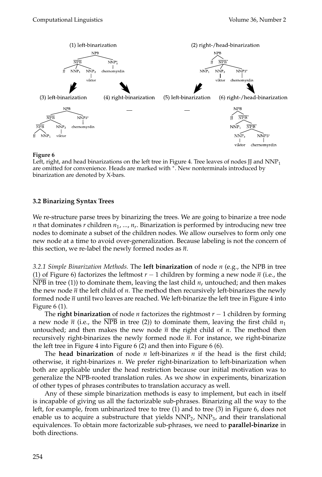

#### **Figure 6**

Left, right, and head binarizations on the left tree in Figure 4. Tree leaves of nodes  $JI$  and  $NNP<sub>1</sub>$ are omitted for convenience. Heads are marked with  $*$ . New nonterminals introduced by binarization are denoted by X-bars.

### **3.2 Binarizing Syntax Trees**

We re-structure parse trees by binarizing the trees. We are going to binarize a tree node *n* that dominates *r* children  $n_1$ , ...,  $n_r$ . Binarization is performed by introducing new tree nodes to dominate a subset of the children nodes. We allow ourselves to form only one new node at a time to avoid over-generalization. Because labeling is not the concern of this section, we re-label the newly formed nodes as  $\overline{n}$ .

*3.2.1 Simple Binarization Methods.* The **left binarization** of node *n* (e.g., the NPB in tree (1) of Figure 6) factorizes the leftmost  $r - 1$  children by forming a new node  $\bar{n}$  (i.e., the  $\overline{\text{NPB}}$  in tree (1)) to dominate them, leaving the last child  $n_r$  untouched; and then makes the new node  $\bar{n}$  the left child of  $n$ . The method then recursively left-binarizes the newly formed node  $\overline{n}$  until two leaves are reached. We left-binarize the left tree in Figure 4 into Figure 6 (1).

The **right binarization** of node *n* factorizes the rightmost *r* − 1 children by forming a new node  $\bar{n}$  (i.e., the NPB in tree (2)) to dominate them, leaving the first child  $n_1$ untouched; and then makes the new node  $\bar{n}$  the right child of *n*. The method then recursively right-binarizes the newly formed node  $\bar{n}$ . For instance, we right-binarize the left tree in Figure 4 into Figure 6 (2) and then into Figure 6 (6).

The **head binarization** of node *n* left-binarizes *n* if the head is the first child; otherwise, it right-binarizes *n*. We prefer right-binarization to left-binarization when both are applicable under the head restriction because our initial motivation was to generalize the NPB-rooted translation rules. As we show in experiments, binarization of other types of phrases contributes to translation accuracy as well.

Any of these simple binarization methods is easy to implement, but each in itself is incapable of giving us all the factorizable sub-phrases. Binarizing all the way to the left, for example, from unbinarized tree to tree (1) and to tree (3) in Figure 6, does not enable us to acquire a substructure that yields  $NNP_2$ ,  $NNP_3$ , and their translational equivalences. To obtain more factorizable sub-phrases, we need to **parallel-binarize** in both directions.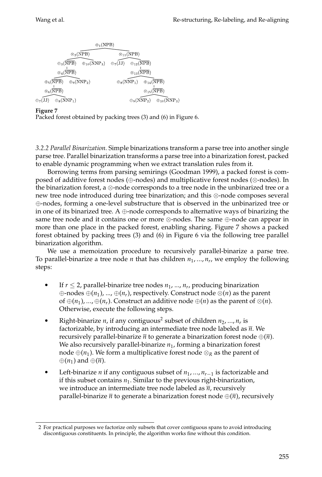

#### **Figure 7**

Packed forest obtained by packing trees (3) and (6) in Figure 6.

*3.2.2 Parallel Binarization.* Simple binarizations transform a parse tree into another single parse tree. Parallel binarization transforms a parse tree into a binarization forest, packed to enable dynamic programming when we extract translation rules from it.

Borrowing terms from parsing semirings (Goodman 1999), a packed forest is composed of additive forest nodes (⊕-nodes) and multiplicative forest nodes (⊗-nodes). In the binarization forest, a ⊗-node corresponds to a tree node in the unbinarized tree or a new tree node introduced during tree binarization; and this ⊗-node composes several ⊕-nodes, forming a one-level substructure that is observed in the unbinarized tree or in one of its binarized tree. A  $\oplus$ -node corresponds to alternative ways of binarizing the same tree node and it contains one or more ⊗-nodes. The same ⊕-node can appear in more than one place in the packed forest, enabling sharing. Figure 7 shows a packed forest obtained by packing trees (3) and (6) in Figure 6 via the following tree parallel binarization algorithm.

We use a memoization procedure to recursively parallel-binarize a parse tree. To parallel-binarize a tree node *n* that has children  $n_1, ..., n_r$ , we employ the following steps:

- If  $r \leq 2$ , parallel-binarize tree nodes  $n_1$ , ...,  $n_r$ , producing binarization ⊕-nodes ⊕(*n*1), ..., ⊕(*nr*), respectively. Construct node ⊗(*n*) as the parent of ⊕( $n_1$ ), ..., ⊕( $n_r$ ). Construct an additive node ⊕( $n$ ) as the parent of ⊗( $n$ ). Otherwise, execute the following steps.
- Right-binarize *n*, if any contiguous<sup>2</sup> subset of children  $n_2, ..., n_r$  is factorizable, by introducing an intermediate tree node labeled as  $\bar{n}$ . We recursively parallel-binarize  $\bar{n}$  to generate a binarization forest node  $\oplus(\bar{n})$ . We also recursively parallel-binarize  $n_1$ , forming a binarization forest node ⊕( $n_1$ ). We form a multiplicative forest node  $\otimes_R$  as the parent of  $\oplus$ (*n*<sub>1</sub>) and  $\oplus$ (*n*<sup>7</sup>).
- Left-binarize *n* if any contiguous subset of *n*1, ..., *nr*<sup>−</sup><sup>1</sup> is factorizable and if this subset contains  $n_1$ . Similar to the previous right-binarization, we introduce an intermediate tree node labeled as  $\overline{n}$ , recursively parallel-binarize  $\bar{n}$  to generate a binarization forest node  $\oplus(\bar{n})$ , recursively

<sup>2</sup> For practical purposes we factorize only subsets that cover contiguous spans to avoid introducing discontiguous constituents. In principle, the algorithm works fine without this condition.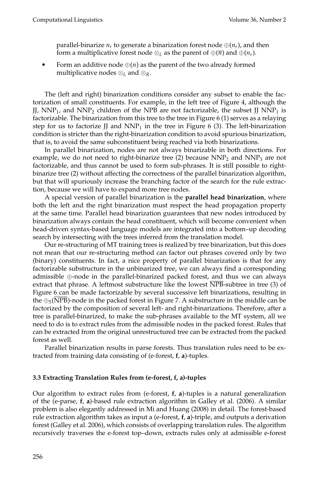parallel-binarize  $n_r$  to generate a binarization forest node  $\oplus$ ( $n_r$ ), and then form a multiplicative forest node  $\otimes_L$  as the parent of  $\oplus(\overline{n})$  and  $\oplus(n_r)$ .

Form an additive node  $\bigoplus$ (*n*) as the parent of the two already formed multiplicative nodes  $\otimes_L$  and  $\otimes_R$ .

The (left and right) binarization conditions consider any subset to enable the factorization of small constituents. For example, in the left tree of Figure 4, although the  $JJ$ , NNP<sub>1</sub>, and NNP<sub>2</sub> children of the NPB are not factorizable, the subset  $JJ$  NNP<sub>1</sub> is factorizable. The binarization from this tree to the tree in Figure 6 (1) serves as a relaying step for us to factorize JJ and NNP<sub>1</sub> in the tree in Figure 6 (3). The left-binarization condition is stricter than the right-binarization condition to avoid spurious binarization, that is, to avoid the same subconstituent being reached via both binarizations.

In parallel binarization, nodes are not always binarizable in both directions. For example, we do not need to right-binarize tree (2) because  $NNP_2$  and  $NNP_3$  are not factorizable, and thus cannot be used to form sub-phrases. It is still possible to rightbinarize tree (2) without affecting the correctness of the parallel binarization algorithm, but that will spuriously increase the branching factor of the search for the rule extraction, because we will have to expand more tree nodes.

A special version of parallel binarization is the **parallel head binarization**, where both the left and the right binarization must respect the head propagation property at the same time. Parallel head binarization guarantees that new nodes introduced by binarization always contain the head constituent, which will become convenient when head-driven syntax-based language models are integrated into a bottom-up decoding search by intersecting with the trees inferred from the translation model.

Our re-structuring of MT training trees is realized by tree binarization, but this does not mean that our re-structuring method can factor out phrases covered only by two (binary) constituents. In fact, a nice property of parallel binarization is that for any factorizable substructure in the unbinarized tree, we can always find a corresponding admissible ⊕-node in the parallel-binarized packed forest, and thus we can always extract that phrase. A leftmost substructure like the lowest NPB-subtree in tree (3) of Figure 6 can be made factorizable by several successive left binarizations, resulting in the  $\bigoplus_5$ (NPB)-node in the packed forest in Figure 7. A substructure in the middle can be factorized by the composition of several left- and right-binarizations. Therefore, after a tree is parallel-binarized, to make the sub-phrases available to the MT system, all we need to do is to extract rules from the admissible nodes in the packed forest. Rules that can be extracted from the original unrestructured tree can be extracted from the packed forest as well.

Parallel binarization results in parse forests. Thus translation rules need to be extracted from training data consisting of (e-forest, **f**, **a**)-tuples.

### **3.3 Extracting Translation Rules from (e-forest, f, a)-tuples**

Our algorithm to extract rules from (e-forest, **f**, **a**)-tuples is a natural generalization of the (e-parse, **f**, **a**)-based rule extraction algorithm in Galley et al. (2006). A similar problem is also elegantly addressed in Mi and Huang (2008) in detail. The forest-based rule extraction algorithm takes as input a (e-forest, **f**, **a**)-triple, and outputs a derivation forest (Galley et al. 2006), which consists of overlapping translation rules. The algorithm recursively traverses the e-forest top–down, extracts rules only at admissible e-forest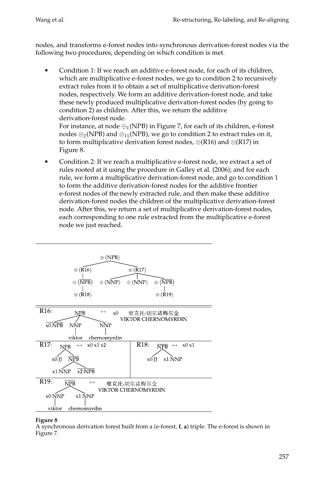nodes, and transforms e-forest nodes into synchronous derivation-forest nodes via the following two procedures, depending on which condition is met.

• Condition 1: If we reach an additive e-forest node, for each of its children, which are multiplicative e-forest nodes, we go to condition 2 to recursively extract rules from it to obtain a set of multiplicative derivation-forest nodes, respectively. We form an additive derivation-forest node, and take these newly produced multiplicative derivation-forest nodes (by going to condition 2) as children. After this, we return the additive derivation-forest node. For instance, at node  $\bigoplus_1(NPB)$  in Figure 7, for each of its children, e-forest nodes  $\otimes_2(NPB)$  and  $\otimes_{11}(NPB)$ , we go to condition 2 to extract rules on it,

to form multiplicative derivation forest nodes,  $\otimes$ (R16) and  $\otimes$ (R17) in Figure 8.

 Condition 2: If we reach a multiplicative e-forest node, we extract a set of rules rooted at it using the procedure in Galley et al. (2006); and for each rule, we form a multiplicative derivation-forest node, and go to condition 1 to form the additive derivation-forest nodes for the additive frontier e-forest nodes of the newly extracted rule, and then make these additive derivation-forest nodes the children of the multiplicative derivation-forest node. After this, we return a set of multiplicative derivation-forest nodes, each corresponding to one rule extracted from the multiplicative e-forest node we just reached.



### **Figure 8**

A synchronous derivation forest built from a (e-forest, **f**, **a**) triple. The e-forest is shown in Figure 7.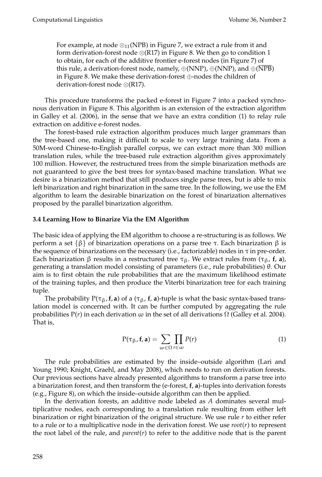For example, at node  $\otimes_{11}$ (NPB) in Figure 7, we extract a rule from it and form derivation-forest node  $\otimes$ (R17) in Figure 8. We then go to condition 1 to obtain, for each of the additive frontier e-forest nodes (in Figure 7) of this rule, a derivation-forest node, namely,  $\oplus$ (NNP),  $\oplus$ (NNP), and  $\oplus$ (NPB) in Figure 8. We make these derivation-forest ⊕-nodes the children of derivation-forest node ⊗(R17).

This procedure transforms the packed e-forest in Figure 7 into a packed synchronous derivation in Figure 8. This algorithm is an extension of the extraction algorithm in Galley et al. (2006), in the sense that we have an extra condition (1) to relay rule extraction on additive e-forest nodes.

The forest-based rule extraction algorithm produces much larger grammars than the tree-based one, making it difficult to scale to very large training data. From a 50M-word Chinese-to-English parallel corpus, we can extract more than 300 million translation rules, while the tree-based rule extraction algorithm gives approximately 100 million. However, the restructured trees from the simple binarization methods are not guaranteed to give the best trees for syntax-based machine translation. What we desire is a binarization method that still produces single parse trees, but is able to mix left binarization and right binarization in the same tree. In the following, we use the EM algorithm to learn the desirable binarization on the forest of binarization alternatives proposed by the parallel binarization algorithm.

### **3.4 Learning How to Binarize Via the EM Algorithm**

The basic idea of applying the EM algorithm to choose a re-structuring is as follows. We perform a set {β} of binarization operations on a parse tree  $\tau$ . Each binarization β is the sequence of binarizations on the necessary (i.e., factorizable) nodes in  $\tau$  in pre-order. Each binarization β results in a restructured tree  $\tau_\beta$ . We extract rules from ( $\tau_\beta$ , **f**, **a**), generating a translation model consisting of parameters (i.e., rule probabilities) θ. Our aim is to first obtain the rule probabilities that are the maximum likelihood estimate of the training tuples, and then produce the Viterbi binarization tree for each training tuple.

The probability  $P(\tau_{\beta}, \mathbf{f}, \mathbf{a})$  of a ( $\tau_{\beta}$ , **f**, **a**)-tuple is what the basic syntax-based translation model is concerned with. It can be further computed by aggregating the rule probabilities  $P(r)$  in each derivation  $\omega$  in the set of all derivations  $\Omega$  (Galley et al. 2004). That is,

$$
P(\tau_{\beta}, \mathbf{f}, \mathbf{a}) = \sum_{\omega \in \Omega} \prod_{r \in \omega} P(r) \tag{1}
$$

The rule probabilities are estimated by the inside–outside algorithm (Lari and Young 1990; Knight, Graehl, and May 2008), which needs to run on derivation forests. Our previous sections have already presented algorithms to transform a parse tree into a binarization forest, and then transform the (e-forest, **f**, **a**)-tuples into derivation forests (e.g., Figure 8), on which the inside–outside algorithm can then be applied.

In the derivation forests, an additive node labeled as *A* dominates several multiplicative nodes, each corresponding to a translation rule resulting from either left binarization or right binarization of the original structure. We use rule *r* to either refer to a rule or to a multiplicative node in the derivation forest. We use  $root(r)$  to represent the root label of the rule, and *parent*(*r*) to refer to the additive node that is the parent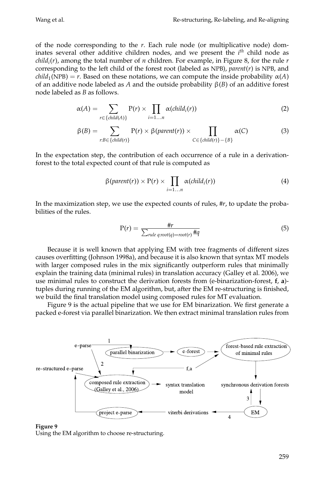of the node corresponding to the *r*. Each rule node (or multiplicative node) dominates several other additive children nodes, and we present the *i th* child node as *child*<sub>*i*</sub>( $r$ ), among the total number of *n* children. For example, in Figure 8, for the rule  $r$ corresponding to the left child of the forest root (labeled as NPB), *parent*(*r*) is NPB, and *child*<sub>1</sub>(NPB) = *r*. Based on these notations, we can compute the inside probability  $\alpha(A)$ of an additive node labeled as *A* and the outside probability β(*B*) of an additive forest node labeled as *B* as follows.

$$
\alpha(A) = \sum_{r \in \{\text{child}(A)\}} P(r) \times \prod_{i=1...n} \alpha(\text{child}_i(r))
$$
\n(2)

$$
\beta(B) = \sum_{r:B \in \{\text{child}(r)\}} \mathrm{P}(r) \times \beta(\text{parent}(r)) \times \prod_{C \in \{\text{child}(r)\}-\{B\}} \alpha(C) \tag{3}
$$

In the expectation step, the contribution of each occurrence of a rule in a derivationforest to the total expected count of that rule is computed as

$$
\beta(parent(r)) \times P(r) \times \prod_{i=1...n} \alpha(child_i(r))
$$
\n(4)

In the maximization step, we use the expected counts of rules, #*r*, to update the probabilities of the rules.

$$
P(r) = \frac{\#r}{\sum_{rule\ q:root(q)=root(r)} \#q}
$$
\n(5)

Because it is well known that applying EM with tree fragments of different sizes causes overfitting (Johnson 1998a), and because it is also known that syntax MT models with larger composed rules in the mix significantly outperform rules that minimally explain the training data (minimal rules) in translation accuracy (Galley et al. 2006), we use minimal rules to construct the derivation forests from (e-binarization-forest, **f**, **a**) tuples during running of the EM algorithm, but, after the EM re-structuring is finished, we build the final translation model using composed rules for MT evaluation.

Figure 9 is the actual pipeline that we use for EM binarization. We first generate a packed e-forest via parallel binarization. We then extract minimal translation rules from



#### **Figure 9**

Using the EM algorithm to choose re-structuring.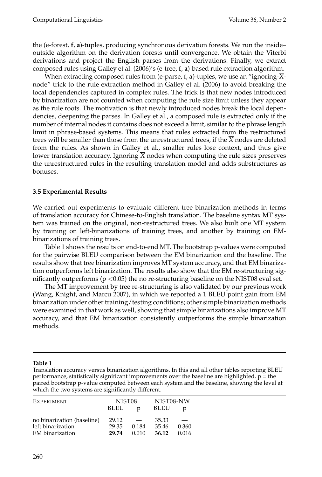the (e-forest, **f**, **a**)-tuples, producing synchronous derivation forests. We run the inside– outside algorithm on the derivation forests until convergence. We obtain the Viterbi derivations and project the English parses from the derivations. Finally, we extract composed rules using Galley et al. (2006)'s (e-tree, **f**, **a**)-based rule extraction algorithm.

When extracting composed rules from (e-parse, f, a)-tuples, we use an "ignoring-*X*node" trick to the rule extraction method in Galley et al. (2006) to avoid breaking the local dependencies captured in complex rules. The trick is that new nodes introduced by binarization are not counted when computing the rule size limit unless they appear as the rule roots. The motivation is that newly introduced nodes break the local dependencies, deepening the parses. In Galley et al., a composed rule is extracted only if the number of internal nodes it contains does not exceed a limit, similar to the phrase length limit in phrase-based systems. This means that rules extracted from the restructured trees will be smaller than those from the unrestructured trees, if the *X* nodes are deleted from the rules. As shown in Galley et al., smaller rules lose context, and thus give lower translation accuracy. Ignoring  $\overline{X}$  nodes when computing the rule sizes preserves the unrestructured rules in the resulting translation model and adds substructures as bonuses.

### **3.5 Experimental Results**

We carried out experiments to evaluate different tree binarization methods in terms of translation accuracy for Chinese-to-English translation. The baseline syntax MT system was trained on the original, non-restructured trees. We also built one MT system by training on left-binarizations of training trees, and another by training on EMbinarizations of training trees.

Table 1 shows the results on end-to-end MT. The bootstrap p-values were computed for the pairwise BLEU comparison between the EM binarization and the baseline. The results show that tree binarization improves MT system accuracy, and that EM binarization outperforms left binarization. The results also show that the EM re-structuring significantly outperforms ( $p < 0.05$ ) the no re-structuring baseline on the NIST08 eval set.

The MT improvement by tree re-structuring is also validated by our previous work (Wang, Knight, and Marcu 2007), in which we reported a 1 BLEU point gain from EM binarization under other training/testing conditions; other simple binarization methods were examined in that work as well, showing that simple binarizations also improve MT accuracy, and that EM binarization consistently outperforms the simple binarization methods.

#### **Table 1**

Translation accuracy versus binarization algorithms. In this and all other tables reporting BLEU performance, statistically significant improvements over the baseline are highlighted.  $p =$  the paired bootstrap p-value computed between each system and the baseline, showing the level at which the two systems are significantly different.

| <b>EXPERIMENT</b>          | NIST08 |                          | NIST08-NW |       |
|----------------------------|--------|--------------------------|-----------|-------|
|                            | BLEU   |                          | BLEU      |       |
| no binarization (baseline) | 29.12  | $\overline{\phantom{a}}$ | 35.33     |       |
| left binarization          | 29.35  | 0.184                    | 35.46     | 0.360 |
| EM binarization            | 29.74  | 0.010                    | 36.12     | 0.016 |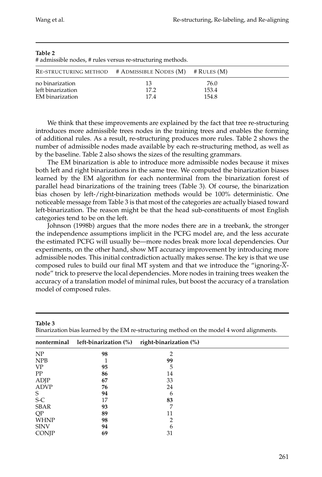| Table 2<br># admissible nodes, # rules versus re-structuring methods. |                                                                  |                        |  |  |  |  |  |  |
|-----------------------------------------------------------------------|------------------------------------------------------------------|------------------------|--|--|--|--|--|--|
|                                                                       | RE-STRUCTURING METHOD $#$ ADMISSIBLE NODES $(M)$ $#$ RULES $(M)$ |                        |  |  |  |  |  |  |
| no binarization<br>left binarization<br>EM binarization               | 13<br>17.2<br>17.4                                               | 76.0<br>153.4<br>154.8 |  |  |  |  |  |  |

### **Table 2**

**Table 3**

We think that these improvements are explained by the fact that tree re-structuring introduces more admissible trees nodes in the training trees and enables the forming of additional rules. As a result, re-structuring produces more rules. Table 2 shows the number of admissible nodes made available by each re-structuring method, as well as by the baseline. Table 2 also shows the sizes of the resulting grammars.

The EM binarization is able to introduce more admissible nodes because it mixes both left and right binarizations in the same tree. We computed the binarization biases learned by the EM algorithm for each nonterminal from the binarization forest of parallel head binarizations of the training trees (Table 3). Of course, the binarization bias chosen by left-/right-binarization methods would be 100% deterministic. One noticeable message from Table 3 is that most of the categories are actually biased toward left-binarization. The reason might be that the head sub-constituents of most English categories tend to be on the left.

Johnson (1998b) argues that the more nodes there are in a treebank, the stronger the independence assumptions implicit in the PCFG model are, and the less accurate the estimated PCFG will usually be—more nodes break more local dependencies. Our experiments, on the other hand, show MT accuracy improvement by introducing more admissible nodes. This initial contradiction actually makes sense. The key is that we use composed rules to build our final MT system and that we introduce the "ignoring-*X*node" trick to preserve the local dependencies. More nodes in training trees weaken the accuracy of a translation model of minimal rules, but boost the accuracy of a translation model of composed rules.

| $\sigma$<br>$\sigma$ |                       |                        |  |  |  |  |  |
|----------------------|-----------------------|------------------------|--|--|--|--|--|
| nonterminal          | left-binarization (%) | right-binarization (%) |  |  |  |  |  |
| NP                   | 98                    |                        |  |  |  |  |  |
| <b>NPB</b>           |                       | 99                     |  |  |  |  |  |
| VP                   | 95                    | 5                      |  |  |  |  |  |
| PP                   | 86                    | 14                     |  |  |  |  |  |
| ADJP                 | 67                    | 33                     |  |  |  |  |  |
| <b>ADVP</b>          | 76                    | 24                     |  |  |  |  |  |
| S                    | 94                    | 6                      |  |  |  |  |  |
| $S-C$                | 17                    | 83                     |  |  |  |  |  |
| <b>SBAR</b>          | 93                    | ⇁                      |  |  |  |  |  |
| QP                   | 89                    | 11                     |  |  |  |  |  |
| <b>WHNP</b>          | 98                    | 2                      |  |  |  |  |  |
| <b>SINV</b>          | 94                    | h                      |  |  |  |  |  |
| CONJP                | 69                    | 31                     |  |  |  |  |  |

Binarization bias learned by the EM re-structuring method on the model 4 word alignments.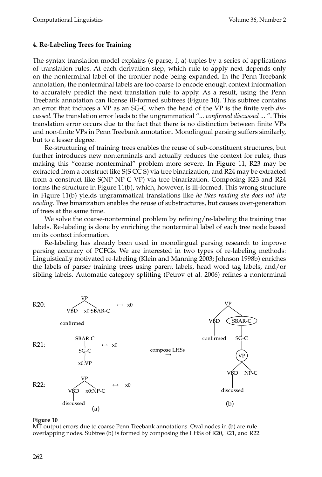### **4. Re-Labeling Trees for Training**

The syntax translation model explains (e-parse,  $f$ , a)-tuples by a series of applications of translation rules. At each derivation step, which rule to apply next depends only on the nonterminal label of the frontier node being expanded. In the Penn Treebank annotation, the nonterminal labels are too coarse to encode enough context information to accurately predict the next translation rule to apply. As a result, using the Penn Treebank annotation can license ill-formed subtrees (Figure 10). This subtree contains an error that induces a VP as an SG-C when the head of the VP is the finite verb *discussed.* The translation error leads to the ungrammatical "*... confirmed discussed ...* ". This translation error occurs due to the fact that there is no distinction between finite VPs and non-finite VPs in Penn Treebank annotation. Monolingual parsing suffers similarly, but to a lesser degree.

Re-structuring of training trees enables the reuse of sub-constituent structures, but further introduces new nonterminals and actually reduces the context for rules, thus making this "coarse nonterminal" problem more severe. In Figure 11, R23 may be extracted from a construct like S(S CC S) via tree binarization, and R24 may be extracted from a construct like S(NP NP-C VP) via tree binarization. Composing R23 and R24 forms the structure in Figure 11(b), which, however, is ill-formed. This wrong structure in Figure 11(b) yields ungrammatical translations like *he likes reading she does not like reading*. Tree binarization enables the reuse of substructures, but causes over-generation of trees at the same time.

We solve the coarse-nonterminal problem by refining/re-labeling the training tree labels. Re-labeling is done by enriching the nonterminal label of each tree node based on its context information.

Re-labeling has already been used in monolingual parsing research to improve parsing accuracy of PCFGs. We are interested in two types of re-labeling methods: Linguistically motivated re-labeling (Klein and Manning 2003; Johnson 1998b) enriches the labels of parser training trees using parent labels, head word tag labels, and/or sibling labels. Automatic category splitting (Petrov et al. 2006) refines a nonterminal



#### **Figure 10**

MT output errors due to coarse Penn Treebank annotations. Oval nodes in (b) are rule overlapping nodes. Subtree (b) is formed by composing the LHSs of R20, R21, and R22.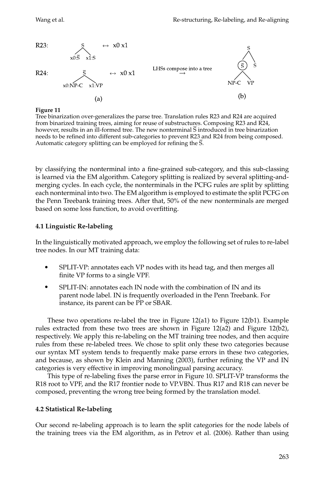

### **Figure 11**

Tree binarization over-generalizes the parse tree. Translation rules R23 and R24 are acquired from binarized training trees, aiming for reuse of substructures. Composing R23 and R24, however, results in an ill-formed tree. The new nonterminal  $\overline{S}$  introduced in tree binarization needs to be refined into different sub-categories to prevent R23 and R24 from being composed. Automatic category splitting can be employed for refining the  $\overline{S}$ .

by classifying the nonterminal into a fine-grained sub-category, and this sub-classing is learned via the EM algorithm. Category splitting is realized by several splitting-andmerging cycles. In each cycle, the nonterminals in the PCFG rules are split by splitting each nonterminal into two. The EM algorithm is employed to estimate the split PCFG on the Penn Treebank training trees. After that, 50% of the new nonterminals are merged based on some loss function, to avoid overfitting.

### **4.1 Linguistic Re-labeling**

In the linguistically motivated approach, we employ the following set of rules to re-label tree nodes. In our MT training data:

- SPLIT-VP: annotates each VP nodes with its head tag, and then merges all finite VP forms to a single VPF.
- SPLIT-IN: annotates each IN node with the combination of IN and its parent node label. IN is frequently overloaded in the Penn Treebank. For instance, its parent can be PP or SBAR.

These two operations re-label the tree in Figure 12(a1) to Figure 12(b1). Example rules extracted from these two trees are shown in Figure 12(a2) and Figure 12(b2), respectively. We apply this re-labeling on the MT training tree nodes, and then acquire rules from these re-labeled trees. We chose to split only these two categories because our syntax MT system tends to frequently make parse errors in these two categories, and because, as shown by Klein and Manning (2003), further refining the VP and IN categories is very effective in improving monolingual parsing accuracy.

This type of re-labeling fixes the parse error in Figure 10. SPLIT-VP transforms the R18 root to VPF, and the R17 frontier node to VP.VBN. Thus R17 and R18 can never be composed, preventing the wrong tree being formed by the translation model.

# **4.2 Statistical Re-labeling**

Our second re-labeling approach is to learn the split categories for the node labels of the training trees via the EM algorithm, as in Petrov et al. (2006). Rather than using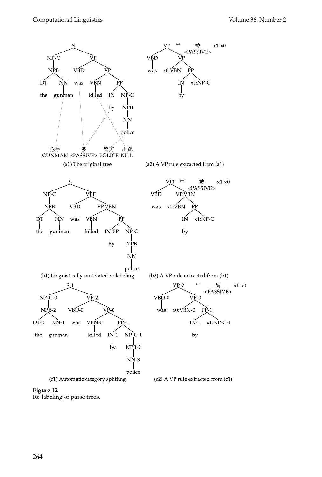

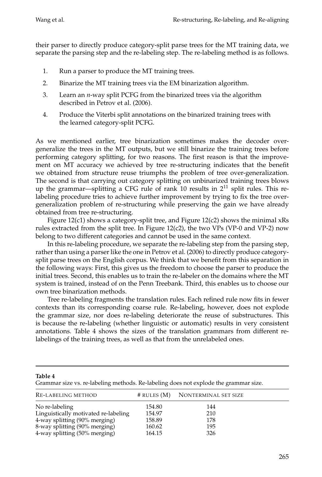their parser to directly produce category-split parse trees for the MT training data, we separate the parsing step and the re-labeling step. The re-labeling method is as follows.

- 1. Run a parser to produce the MT training trees.
- 2. Binarize the MT training trees via the EM binarization algorithm.
- 3. Learn an *n*-way split PCFG from the binarized trees via the algorithm described in Petrov et al. (2006).
- 4. Produce the Viterbi split annotations on the binarized training trees with the learned category-split PCFG.

As we mentioned earlier, tree binarization sometimes makes the decoder overgeneralize the trees in the MT outputs, but we still binarize the training trees before performing category splitting, for two reasons. The first reason is that the improvement on MT accuracy we achieved by tree re-structuring indicates that the benefit we obtained from structure reuse triumphs the problem of tree over-generalization. The second is that carrying out category splitting on unbinarized training trees blows up the grammar—splitting a CFG rule of rank 10 results in  $2^{11}$  split rules. This relabeling procedure tries to achieve further improvement by trying to fix the tree overgeneralization problem of re-structuring while preserving the gain we have already obtained from tree re-structuring.

Figure  $12(c1)$  shows a category-split tree, and Figure  $12(c2)$  shows the minimal xRs rules extracted from the split tree. In Figure  $12(c2)$ , the two VPs (VP-0 and VP-2) now belong to two different categories and cannot be used in the same context.

In this re-labeling procedure, we separate the re-labeling step from the parsing step, rather than using a parser like the one in Petrov et al. (2006) to directly produce categorysplit parse trees on the English corpus. We think that we benefit from this separation in the following ways: First, this gives us the freedom to choose the parser to produce the initial trees. Second, this enables us to train the re-labeler on the domains where the MT system is trained, instead of on the Penn Treebank. Third, this enables us to choose our own tree binarization methods.

Tree re-labeling fragments the translation rules. Each refined rule now fits in fewer contexts than its corresponding coarse rule. Re-labeling, however, does not explode the grammar size, nor does re-labeling deteriorate the reuse of substructures. This is because the re-labeling (whether linguistic or automatic) results in very consistent annotations. Table 4 shows the sizes of the translation grammars from different relabelings of the training trees, as well as that from the unrelabeled ones.

### **Table 4**

Grammar size vs. re-labeling methods. Re-labeling does not explode the grammar size.

| <b>RE-LABELING METHOD</b>            |        | # RULES (M) NONTERMINAL SET SIZE |  |
|--------------------------------------|--------|----------------------------------|--|
| No re-labeling                       | 154.80 | 144                              |  |
| Linguistically motivated re-labeling | 154.97 | 210                              |  |
| 4-way splitting (90% merging)        | 158.89 | 178                              |  |
| 8-way splitting (90% merging)        | 160.62 | 195                              |  |
| 4-way splitting (50% merging)        | 164.15 | 326                              |  |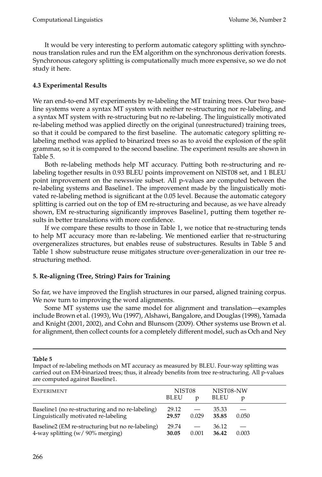It would be very interesting to perform automatic category splitting with synchronous translation rules and run the EM algorithm on the synchronous derivation forests. Synchronous category splitting is computationally much more expensive, so we do not study it here.

# **4.3 Experimental Results**

We ran end-to-end MT experiments by re-labeling the MT training trees. Our two baseline systems were a syntax MT system with neither re-structuring nor re-labeling, and a syntax MT system with re-structuring but no re-labeling. The linguistically motivated re-labeling method was applied directly on the original (unrestructured) training trees, so that it could be compared to the first baseline. The automatic category splitting relabeling method was applied to binarized trees so as to avoid the explosion of the split grammar, so it is compared to the second baseline. The experiment results are shown in Table 5.

Both re-labeling methods helpMT accuracy. Putting both re-structuring and relabeling together results in 0.93 BLEU points improvement on NIST08 set, and 1 BLEU point improvement on the newswire subset. All p-values are computed between the re-labeling systems and Baseline1. The improvement made by the linguistically motivated re-labeling method is significant at the 0.05 level. Because the automatic category splitting is carried out on the top of EM re-structuring and because, as we have already shown, EM re-structuring significantly improves Baseline1, putting them together results in better translations with more confidence.

If we compare these results to those in Table 1, we notice that re-structuring tends to helpMT accuracy more than re-labeling. We mentioned earlier that re-structuring overgeneralizes structures, but enables reuse of substructures. Results in Table 5 and Table 1 show substructure reuse mitigates structure over-generalization in our tree restructuring method.

# **5. Re-aligning (Tree, String) Pairs for Training**

So far, we have improved the English structures in our parsed, aligned training corpus. We now turn to improving the word alignments.

Some MT systems use the same model for alignment and translation—examples include Brown et al. (1993), Wu (1997), Alshawi, Bangalore, and Douglas (1998), Yamada and Knight (2001, 2002), and Cohn and Blunsom (2009). Other systems use Brown et al. for alignment, then collect counts for a completely different model, such as Och and Ney

### **Table 5**

Impact of re-labeling methods on MT accuracy as measured by BLEU. Four-way splitting was carried out on EM-binarized trees; thus, it already benefits from tree re-structuring. All p-values are computed against Baseline1.

| EXPERIMENT                                                                               | NIST <sub>08</sub><br><b>BLEU</b> | D     | NIST08-NW<br><b>BLEU</b> | p     |  |
|------------------------------------------------------------------------------------------|-----------------------------------|-------|--------------------------|-------|--|
| Baseline1 (no re-structuring and no re-labeling)<br>Linguistically motivated re-labeling | 29.12<br>29.57                    | 0.029 | 35.33<br>35.85           | 0.050 |  |
| Baseline2 (EM re-structuring but no re-labeling)<br>4-way splitting $(w / 90\%$ merging) | 29.74<br>30.05                    | 0.001 | 36.12<br>36.42           | 0.003 |  |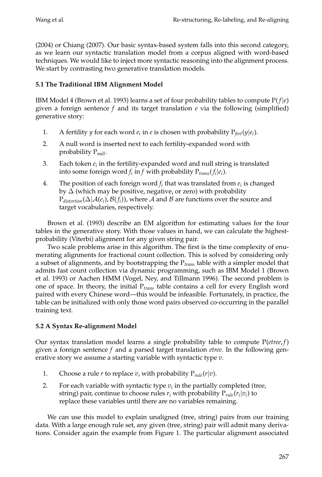(2004) or Chiang (2007). Our basic syntax-based system falls into this second category, as we learn our syntactic translation model from a corpus aligned with word-based techniques. We would like to inject more syntactic reasoning into the alignment process. We start by contrasting two generative translation models.

# **5.1 The Traditional IBM Alignment Model**

IBM Model 4 (Brown et al. 1993) learns a set of four probability tables to compute  $P(f|e)$ given a foreign sentence  $f$  and its target translation  $e$  via the following (simplified) generative story:

- 1. A fertility *y* for each word  $e_i$  in *e* is chosen with probability  $P_{fert}(y|e_i)$ .
- 2. A null word is inserted next to each fertility-expanded word with probability P*null*.
- 3. Each token *ei* in the fertility-expanded word and null string is translated into some foreign word  $f_i$  in  $f$  with probability  $P_{trans}(f_i|e_i)$ .
- 4. The position of each foreign word  $f_i$  that was translated from  $e_i$  is changed by  $\Delta$  (which may be positive, negative, or zero) with probability P*distortion*(∆|A(*ei*), B( *fi*)), where A and B are functions over the source and target vocabularies, respectively.

Brown et al. (1993) describe an EM algorithm for estimating values for the four tables in the generative story. With those values in hand, we can calculate the highestprobability (Viterbi) alignment for any given string pair.

Two scale problems arise in this algorithm. The first is the time complexity of enumerating alignments for fractional count collection. This is solved by considering only a subset of alignments, and by bootstrapping the P*trans* table with a simpler model that admits fast count collection via dynamic programming, such as IBM Model 1 (Brown et al. 1993) or Aachen HMM (Vogel, Ney, and Tillmann 1996). The second problem is one of space. In theory, the initial P*trans* table contains a cell for every English word paired with every Chinese word—this would be infeasible. Fortunately, in practice, the table can be initialized with only those word pairs observed co-occurring in the parallel training text.

# **5.2 A Syntax Re-alignment Model**

Our syntax translation model learns a single probability table to compute P(*etree*, *f* ) given a foreign sentence *f* and a parsed target translation *etree*. In the following generative story we assume a starting variable with syntactic type *v*.

- 1. Choose a rule *r* to replace *v*, with probability  $P_{rule}(r|v)$ .
- 2. For each variable with syntactic type  $v_i$  in the partially completed (tree, string) pair, continue to choose rules  $r_i$  with probability  $P_{rule}(r_i|v_i)$  to replace these variables until there are no variables remaining.

We can use this model to explain unaligned (tree, string) pairs from our training data. With a large enough rule set, any given (tree, string) pair will admit many derivations. Consider again the example from Figure 1. The particular alignment associated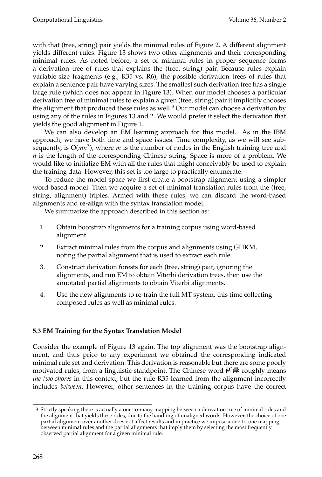with that (tree, string) pair yields the minimal rules of Figure 2. A different alignment yields different rules. Figure 13 shows two other alignments and their corresponding minimal rules. As noted before, a set of minimal rules in proper sequence forms a derivation tree of rules that explains the (tree, string) pair. Because rules explain variable-size fragments (e.g., R35 vs. R6), the possible derivation trees of rules that explain a sentence pair have varying sizes. The smallest such derivation tree has a single large rule (which does not appear in Figure 13). When our model chooses a particular derivation tree of minimal rules to explain a given (tree, string) pair it implicitly chooses the alignment that produced these rules as well. $3$  Our model can choose a derivation by using any of the rules in Figures 13 and 2. We would prefer it select the derivation that yields the good alignment in Figure 1.

We can also develop an EM learning approach for this model. As in the IBM approach, we have both time and space issues. Time complexity, as we will see subsequently, is  $O(mn^3)$ , where *m* is the number of nodes in the English training tree and *n* is the length of the corresponding Chinese string. Space is more of a problem. We would like to initialize EM with all the rules that might conceivably be used to explain the training data. However, this set is too large to practically enumerate.

To reduce the model space we first create a bootstrap alignment using a simpler word-based model. Then we acquire a set of minimal translation rules from the (tree, string, alignment) triples. Armed with these rules, we can discard the word-based alignments and **re-align** with the syntax translation model.

We summarize the approach described in this section as:

- 1. Obtain bootstrap alignments for a training corpus using word-based alignment.
- 2. Extract minimal rules from the corpus and alignments using GHKM, noting the partial alignment that is used to extract each rule.
- 3. Construct derivation forests for each (tree, string) pair, ignoring the alignments, and run EM to obtain Viterbi derivation trees, then use the annotated partial alignments to obtain Viterbi alignments.
- 4. Use the new alignments to re-train the full MT system, this time collecting composed rules as well as minimal rules.

# **5.3 EM Training for the Syntax Translation Model**

Consider the example of Figure 13 again. The top alignment was the bootstrap alignment, and thus prior to any experiment we obtained the corresponding indicated minimal rule set and derivation. This derivation is reasonable but there are some poorly motivated rules, from a linguistic standpoint. The Chinese word 两岸 roughly means *the two shores* in this context, but the rule R35 learned from the alignment incorrectly includes *between*. However, other sentences in the training corpus have the correct

<sup>3</sup> Strictly speaking there is actually a one-to-many mapping between a derivation tree of minimal rules and the alignment that yields these rules, due to the handling of unaligned words. However, the choice of one partial alignment over another does not affect results and in practice we impose a one-to-one mapping between minimal rules and the partial alignments that imply them by selecting the most frequently observed partial alignment for a given minimal rule.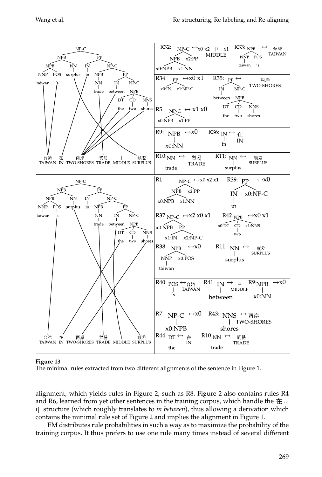

#### **Figure 13**



alignment, which yields rules in Figure 2, such as R8. Figure 2 also contains rules R4 and R6, learned from yet other sentences in the training corpus, which handle the  $\pm$  ... ¥ structure (which roughly translates to *in between*), thus allowing a derivation which contains the minimal rule set of Figure 2 and implies the alignment in Figure 1.

EM distributes rule probabilities in such a way as to maximize the probability of the training corpus. It thus prefers to use one rule many times instead of several different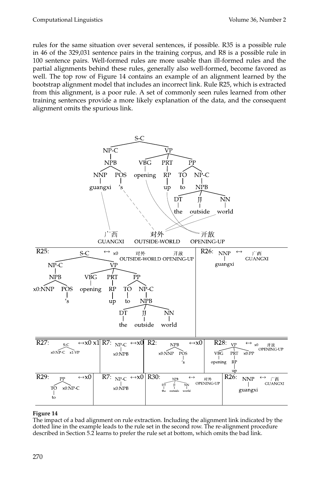rules for the same situation over several sentences, if possible. R35 is a possible rule in 46 of the 329,031 sentence pairs in the training corpus, and R8 is a possible rule in 100 sentence pairs. Well-formed rules are more usable than ill-formed rules and the partial alignments behind these rules, generally also well-formed, become favored as well. The top row of Figure 14 contains an example of an alignment learned by the bootstrapalignment model that includes an incorrect link. Rule R25, which is extracted from this alignment, is a poor rule. A set of commonly seen rules learned from other training sentences provide a more likely explanation of the data, and the consequent alignment omits the spurious link.



### **Figure 14**

The impact of a bad alignment on rule extraction. Including the alignment link indicated by the dotted line in the example leads to the rule set in the second row. The re-alignment procedure described in Section 5.2 learns to prefer the rule set at bottom, which omits the bad link.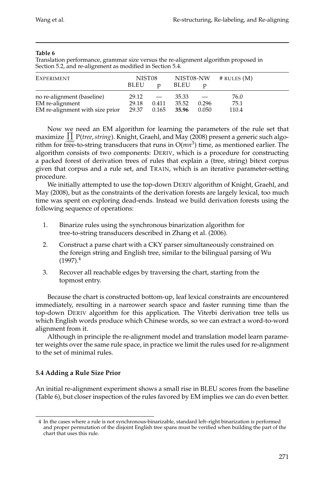### **Table 6**

Translation performance, grammar size versus the re-alignment algorithm proposed in Section 5.2, and re-alignment as modified in Section 5.4.

| <b>EXPERIMENT</b>               | NIST08<br>BLEU<br>D |                          | NIST08-NW<br>BLEU |                          | $#$ RULES $(M)$ |  |
|---------------------------------|---------------------|--------------------------|-------------------|--------------------------|-----------------|--|
| no re-alignment (baseline)      | 29.12               | $\overline{\phantom{m}}$ | 35.33             | $\overline{\phantom{m}}$ | 76.0            |  |
| EM re-alignment                 | 29.18               | 0.411                    | 35.52             | 0.296                    | 75.1            |  |
| EM re-alignment with size prior | 29.37               | 0.165                    | 35.96             | 0.050                    | 110.4           |  |

Now we need an EM algorithm for learning the parameters of the rule set that maximize *corpus* P(*tree*,*string*). Knight, Graehl, and May (2008) present a generic such algorithm for tree-to-string transducers that runs in  $O(mn^3)$  time, as mentioned earlier. The algorithm consists of two components: DERIV, which is a procedure for constructing a packed forest of derivation trees of rules that explain a (tree, string) bitext corpus given that corpus and a rule set, and TRAIN, which is an iterative parameter-setting procedure.

We initially attempted to use the top-down DERIV algorithm of Knight, Graehl, and May (2008), but as the constraints of the derivation forests are largely lexical, too much time was spent on exploring dead-ends. Instead we build derivation forests using the following sequence of operations:

- 1. Binarize rules using the synchronous binarization algorithm for tree-to-string transducers described in Zhang et al. (2006).
- 2. Construct a parse chart with a CKY parser simultaneously constrained on the foreign string and English tree, similar to the bilingual parsing of Wu  $(1997).<sup>4</sup>$
- 3. Recover all reachable edges by traversing the chart, starting from the topmost entry.

Because the chart is constructed bottom-up, leaf lexical constraints are encountered immediately, resulting in a narrower search space and faster running time than the top-down DERIV algorithm for this application. The Viterbi derivation tree tells us which English words produce which Chinese words, so we can extract a word-to-word alignment from it.

Although in principle the re-alignment model and translation model learn parameter weights over the same rule space, in practice we limit the rules used for re-alignment to the set of minimal rules.

# **5.4 Adding a Rule Size Prior**

An initial re-alignment experiment shows a small rise in BLEU scores from the baseline (Table 6), but closer inspection of the rules favored by EM implies we can do even better.

<sup>4</sup> In the cases where a rule is not synchronous-binarizable, standard left–right binarization is performed and proper permutation of the disjoint English tree spans must be verified when building the part of the chart that uses this rule.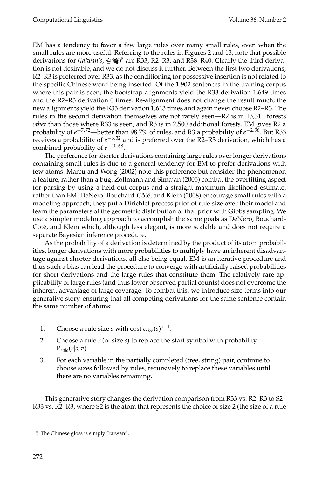EM has a tendency to favor a few large rules over many small rules, even when the small rules are more useful. Referring to the rules in Figures 2 and 13, note that possible derivations for (taiwan's, 台湾)<sup>5</sup> are R33, R2–R3, and R38–R40. Clearly the third derivation is not desirable, and we do not discuss it further. Between the first two derivations, R2–R3 is preferred over R33, as the conditioning for possessive insertion is not related to the specific Chinese word being inserted. Of the 1,902 sentences in the training corpus where this pair is seen, the bootstrap alignments yield the R33 derivation 1,649 times and the R2–R3 derivation 0 times. Re-alignment does not change the result much; the new alignments yield the R33 derivation 1,613 times and again never choose R2–R3. The rules in the second derivation themselves are not rarely seen—R2 is in 13,311 forests *other* than those where R33 is seen, and R3 is in 2,500 additional forests. EM gives R2 a probability of *e*−7.72—better than 98.7% of rules, and R3 a probability of *e*−2.96. But R33 receives a probability of *e*−6.<sup>32</sup> and is preferred over the R2–R3 derivation, which has a combined probability of *e*−10.68.

The preference for shorter derivations containing large rules over longer derivations containing small rules is due to a general tendency for EM to prefer derivations with few atoms. Marcu and Wong (2002) note this preference but consider the phenomenon a feature, rather than a bug. Zollmann and Sima'an (2005) combat the overfitting aspect for parsing by using a held-out corpus and a straight maximum likelihood estimate, rather than EM. DeNero, Bouchard-Côté, and Klein (2008) encourage small rules with a modeling approach; they put a Dirichlet process prior of rule size over their model and learn the parameters of the geometric distribution of that prior with Gibbs sampling. We use a simpler modeling approach to accomplish the same goals as DeNero, Bouchard-Côté, and Klein which, although less elegant, is more scalable and does not require a separate Bayesian inference procedure.

As the probability of a derivation is determined by the product of its atom probabilities, longer derivations with more probabilities to multiply have an inherent disadvantage against shorter derivations, all else being equal. EM is an iterative procedure and thus such a bias can lead the procedure to converge with artificially raised probabilities for short derivations and the large rules that constitute them. The relatively rare applicability of large rules (and thus lower observed partial counts) does not overcome the inherent advantage of large coverage. To combat this, we introduce size terms into our generative story, ensuring that all competing derivations for the same sentence contain the same number of atoms:

- 1. Choose a rule size *s* with cost  $c_{size}(s)^{s-1}$ .
- 2. Choose a rule *r* (of size *s*) to replace the start symbol with probability  $P_{rule}(r|s,v)$ .
- 3. For each variable in the partially completed (tree, string) pair, continue to choose sizes followed by rules, recursively to replace these variables until there are no variables remaining.

This generative story changes the derivation comparison from R33 vs. R2–R3 to S2– R33 vs. R2–R3, where S2 is the atom that represents the choice of size 2 (the size of a rule

<sup>5</sup> The Chinese gloss is simply "taiwan".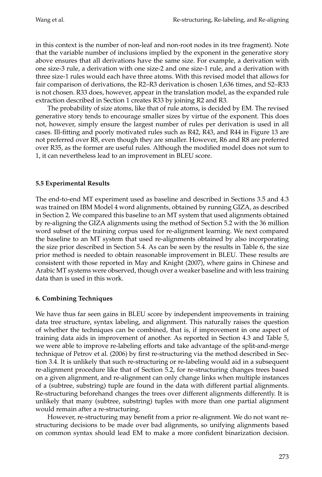in this context is the number of non-leaf and non-root nodes in its tree fragment). Note that the variable number of inclusions implied by the exponent in the generative story above ensures that all derivations have the same size. For example, a derivation with one size-3 rule, a derivation with one size-2 and one size-1 rule, and a derivation with three size-1 rules would each have three atoms. With this revised model that allows for fair comparison of derivations, the R2–R3 derivation is chosen 1,636 times, and S2–R33 is not chosen. R33 does, however, appear in the translation model, as the expanded rule extraction described in Section 1 creates R33 by joining R2 and R3.

The probability of size atoms, like that of rule atoms, is decided by EM. The revised generative story tends to encourage smaller sizes by virtue of the exponent. This does not, however, simply ensure the largest number of rules per derivation is used in all cases. Ill-fitting and poorly motivated rules such as R42, R43, and R44 in Figure 13 are not preferred over R8, even though they are smaller. However, R6 and R8 are preferred over R35, as the former are useful rules. Although the modified model does not sum to 1, it can nevertheless lead to an improvement in BLEU score.

### **5.5 Experimental Results**

The end-to-end MT experiment used as baseline and described in Sections 3.5 and 4.3 was trained on IBM Model 4 word alignments, obtained by running GIZA, as described in Section 2. We compared this baseline to an MT system that used alignments obtained by re-aligning the GIZA alignments using the method of Section 5.2 with the 36 million word subset of the training corpus used for re-alignment learning. We next compared the baseline to an MT system that used re-alignments obtained by also incorporating the size prior described in Section 5.4. As can be seen by the results in Table 6, the size prior method is needed to obtain reasonable improvement in BLEU. These results are consistent with those reported in May and Knight (2007), where gains in Chinese and Arabic MT systems were observed, though over a weaker baseline and with less training data than is used in this work.

# **6. Combining Techniques**

We have thus far seen gains in BLEU score by independent improvements in training data tree structure, syntax labeling, and alignment. This naturally raises the question of whether the techniques can be combined, that is, if improvement in one aspect of training data aids in improvement of another. As reported in Section 4.3 and Table 5, we were able to improve re-labeling efforts and take advantage of the split-and-merge technique of Petrov et al. (2006) by first re-structuring via the method described in Section 3.4. It is unlikely that such re-structuring or re-labeling would aid in a subsequent re-alignment procedure like that of Section 5.2, for re-structuring changes trees based on a given alignment, and re-alignment can only change links when multiple instances of a (subtree, substring) tuple are found in the data with different partial alignments. Re-structuring beforehand changes the trees over different alignments differently. It is unlikely that many (subtree, substring) tuples with more than one partial alignment would remain after a re-structuring.

However, re-structuring may benefit from a prior re-alignment. We do not want restructuring decisions to be made over bad alignments, so unifying alignments based on common syntax should lead EM to make a more confident binarization decision.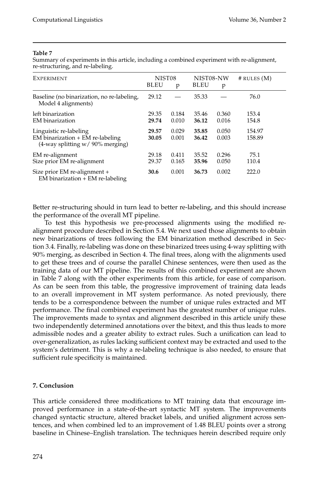#### **Table 7**

Summary of experiments in this article, including a combined experiment with re-alignment, re-structuring, and re-labeling.

| <b>EXPERIMENT</b>                                                                                         |                | NIST <sub>08</sub> |                | NIST08-NW      | $#$ RULES $(M)$  |
|-----------------------------------------------------------------------------------------------------------|----------------|--------------------|----------------|----------------|------------------|
|                                                                                                           | BLEU           | p                  | <b>BLEU</b>    | p              |                  |
| Baseline (no binarization, no re-labeling,<br>Model 4 alignments)                                         | 29.12          |                    | 35.33          |                | 76.0             |
| left binarization<br>EM binarization                                                                      | 29.35<br>29.74 | 0.184<br>0.010     | 35.46<br>36.12 | 0.360<br>0.016 | 153.4<br>154.8   |
| Linguistic re-labeling<br>EM binarization $+$ EM re-labeling<br>$(4\text{-way splitting w}/90\%$ merging) | 29.57<br>30.05 | 0.029<br>0.001     | 35.85<br>36.42 | 0.050<br>0.003 | 154.97<br>158.89 |
| EM re-alignment<br>Size prior EM re-alignment                                                             | 29.18<br>29.37 | 0.411<br>0.165     | 35.52<br>35.96 | 0.296<br>0.050 | 75.1<br>110.4    |
| Size prior EM re-alignment +<br>EM binarization $+$ EM re-labeling                                        | 30.6           | 0.001              | 36.73          | 0.002          | 222.0            |

Better re-structuring should in turn lead to better re-labeling, and this should increase the performance of the overall MT pipeline.

To test this hypothesis we pre-processed alignments using the modified realignment procedure described in Section 5.4. We next used those alignments to obtain new binarizations of trees following the EM binarization method described in Section 3.4. Finally, re-labeling was done on these binarized trees using 4-way splitting with 90% merging, as described in Section 4. The final trees, along with the alignments used to get these trees and of course the parallel Chinese sentences, were then used as the training data of our MT pipeline. The results of this combined experiment are shown in Table 7 along with the other experiments from this article, for ease of comparison. As can be seen from this table, the progressive improvement of training data leads to an overall improvement in MT system performance. As noted previously, there tends to be a correspondence between the number of unique rules extracted and MT performance. The final combined experiment has the greatest number of unique rules. The improvements made to syntax and alignment described in this article unify these two independently determined annotations over the bitext, and this thus leads to more admissible nodes and a greater ability to extract rules. Such a unification can lead to over-generalization, as rules lacking sufficient context may be extracted and used to the system's detriment. This is why a re-labeling technique is also needed, to ensure that sufficient rule specificity is maintained.

### **7. Conclusion**

This article considered three modifications to MT training data that encourage improved performance in a state-of-the-art syntactic MT system. The improvements changed syntactic structure, altered bracket labels, and unified alignment across sentences, and when combined led to an improvement of 1.48 BLEU points over a strong baseline in Chinese–English translation. The techniques herein described require only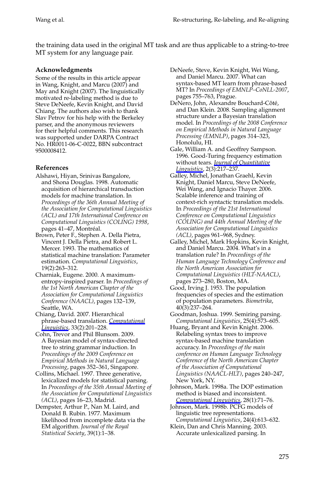the training data used in the original MT task and are thus applicable to a string-to-tree MT system for any language pair.

#### **Acknowledgments**

Some of the results in this article appear in Wang, Knight, and Marcu (2007) and May and Knight (2007). The linguistically motivated re-labeling method is due to Steve DeNeefe, Kevin Knight, and David Chiang. The authors also wish to thank Slav Petrov for his help with the Berkeley parser, and the anonymous reviewers for their helpful comments. This research was supported under DARPA Contract No. HR0011-06-C-0022, BBN subcontract 9500008412.

#### **References**

- Alshawi, Hiyan, Srinivas Bangalore, and Shona Douglas. 1998. Automatic acquisition of hierarchical transduction models for machine translation. In *Proceedings of the 36th Annual Meeting of the Association for Computational Linguistics (ACL) and 17th International Conference on Computational Linguistics (COLING) 1998*, pages 41–47, Montréal.
- Brown, Peter F., Stephen A. Della Pietra, Vincent J. Della Pietra, and Robert L. Mercer. 1993. The mathematics of statistical machine translation: Parameter estimation. *Computational Linguistics*, 19(2):263–312.
- Charniak, Eugene. 2000. A maximumentropy-inspired parser. In *Proceedings of the 1st North American Chapter of the Association for Computational Linguistics Conference (NAACL)*, pages 132–139, Seattle, WA.
- Chiang, David. 2007. Hierarchical phrase-based translation. *Computational Linguistics*, 33(2):201–228.
- Cohn, Trevor and Phil Blunsom. 2009. A Bayesian model of syntax-directed tree to string grammar induction. In *Proceedings of the 2009 Conference on Empirical Methods in Natural Language Processing*, pages 352–361, Singapore.
- Collins, Michael. 1997. Three generative, lexicalized models for statistical parsing. In *Proceedings of the 35th Annual Meeting of the Association for Computational Linguistics (ACL)*, pages 16–23, Madrid.
- Dempster, Arthur P., Nan M. Laird, and Donald B. Rubin. 1977. Maximum likelihood from incomplete data via the EM algorithm. *Journal of the Royal Statistical Society*, 39(1):1–38.
- DeNeefe, Steve, Kevin Knight, Wei Wang, and Daniel Marcu. 2007. What can syntax-based MT learn from phrase-based MT? In *Proceedings of EMNLP–CoNLL-2007*, pages 755–763, Prague.
- DeNero, John, Alexandre Bouchard-Côté, and Dan Klein. 2008. Sampling alignment structure under a Bayesian translation model. In *Proceedings of the 2008 Conference on Empirical Methods in Natural Language Processing (EMNLP)*, pages 314–323, Honolulu, HI.
- Gale, William A. and Geoffrey Sampson. 1996. Good-Turing frequency estimation without tears. *Journal of Quantitative Linguistics*, 2(3):217–237.
- Galley, Michel, Jonathan Graehl, Kevin Knight, Daniel Marcu, Steve DeNeefe, Wei Wang, and Ignacio Thayer. 2006. Scalable inference and training of context-rich syntactic translation models. In *Proceedings of the 21st International Conference on Computational Linguistics (COLING) and 44th Annual Meeting of the Association for Computational Linguistics (ACL)*, pages 961–968, Sydney.
- Galley, Michel, Mark Hopkins, Kevin Knight, and Daniel Marcu. 2004. What's in a translation rule? In *Proceedings of the Human Language Technology Conference and the North American Association for Computational Linguistics (HLT-NAACL)*, pages 273–280, Boston, MA.
- Good, Irving J. 1953. The population frequencies of species and the estimation of population parameters. *Biometrika*,  $40(3):237-264.$
- Goodman, Joshua. 1999. Semiring parsing. *Computational Linguistics*, 25(4):573–605.
- Huang, Bryant and Kevin Knight. 2006. Relabeling syntax trees to improve syntax-based machine translation accuracy. In *Proceedings of the main conference on Human Language Technology Conference of the North American Chapter of the Association of Computational Linguistics (NAACL-HLT)*, pages 240–247, New York, NY.
- Johnson, Mark. 1998a. The DOP estimation method is biased and inconsistent. *Computational Linguistics*, 28(1):71–76.
- Johnson, Mark. 1998b. PCFG models of linguistic tree representations. *Computational Linguistics*, 24(4):613–632. Klein, Dan and Chris Manning. 2003.
	- Accurate unlexicalized parsing. In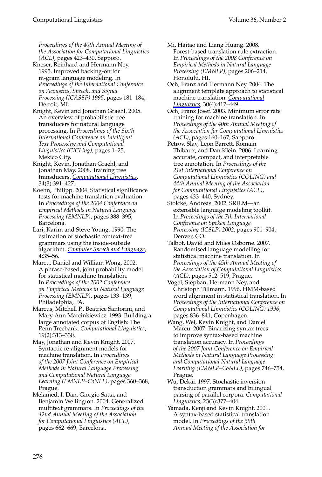#### Computational Linguistics Volume 36, Number 2

*Proceedings of the 40th Annual Meeting of the Association for Computational Linguistics (ACL)*, pages 423–430, Sapporo.

Kneser, Reinhard and Hermann Ney. 1995. Improved backing-off for m-gram language modeling. In *Proceedings of the International Conference on Acoustics, Speech, and Signal Processing (ICASSP) 1995*, pages 181–184, Detroit, MI.

Knight, Kevin and Jonathan Graehl. 2005. An overview of probabilistic tree transducers for natural language processing. In *Proceedings of the Sixth International Conference on Intelligent Text Processing and Computational Linguistics (CICLing)*, pages 1–25, Mexico City.

Knight, Kevin, Jonathan Graehl, and Jonathan May. 2008. Training tree transducers. *Computational Linguistics*, 34(3):391–427.

Koehn, Philipp. 2004. Statistical significance tests for machine translation evaluation. In *Proceedings of the 2004 Conference on Empirical Methods in Natural Language Processing (EMNLP)*, pages 388–395, Barcelona.

Lari, Karim and Steve Young. 1990. The estimation of stochastic context-free grammars using the inside-outside algorithm. *Computer Speech and Language*, 4:35–56.

Marcu, Daniel and William Wong. 2002. A phrase-based, joint probability model for statistical machine translation. In *Proceedings of the 2002 Conference on Empirical Methods in Natural Language Processing (EMNLP)*, pages 133–139, Philadelphia, PA.

Marcus, Mitchell P., Beatrice Santorini, and Mary Ann Marcinkiewicz. 1993. Building a large annotated corpus of English: The Penn Treebank. *Computational Linguistics*, 19(2):313–330.

May, Jonathan and Kevin Knight. 2007. Syntactic re-alignment models for machine translation. In *Proceedings of the 2007 Joint Conference on Empirical Methods in Natural Language Processing and Computational Natural Language Learning (EMNLP–CoNLL)*, pages 360–368, Prague.

Melamed, I. Dan, Giorgio Satta, and Benjamin Wellington. 2004. Generalized multitext grammars. In *Proceedings of the 42nd Annual Meeting of the Association for Computational Linguistics (ACL)*, pages 662–669, Barcelona.

Mi, Haitao and Liang Huang. 2008. Forest-based translation rule extraction. In *Proceedings of the 2008 Conference on Empirical Methods in Natural Language Processing (EMNLP)*, pages 206–214, Honolulu, HI.

Och, Franz and Hermann Ney. 2004. The alignment template approach to statistical machine translation. *Computational Linguistics*, 30(4):417–449.

Och, Franz Josef. 2003. Minimum error rate training for machine translation. In *Proceedings of the 40th Annual Meeting of the Association for Computational Linguistics (ACL)*, pages 160–167, Sapporo.

Petrov, Slav, Leon Barrett, Romain Thibaux, and Dan Klein. 2006. Learning accurate, compact, and interpretable tree annotation. In *Proceedings of the 21st International Conference on Computational Linguistics (COLING) and 44th Annual Meeting of the Association for Computational Linguistics (ACL)*, pages 433–440, Sydney.

Stolcke, Andreas. 2002. SRILM—an extensible language modeling toolkit. In *Proceedings of the 7th International Conference on Spoken Language Processing (ICSLP) 2002*, pages 901–904, Denver, CO.

Talbot, David and Miles Osborne. 2007. Randomised language modelling for statistical machine translation. In *Proceedings of the 45th Annual Meeting of the Association of Computational Linguistics (ACL)*, pages 512–519, Prague.

Vogel, Stephan, Hermann Ney, and Christoph Tillmann. 1996. HMM-based word alignment in statistical translation. In *Proceedings of the International Conference on Computational Linguistics (COLING) 1996*, pages 836–841, Copenhagen.

Wang, Wei, Kevin Knight, and Daniel Marcu. 2007. Binarizing syntax trees to improve syntax-based machine translation accuracy. In *Proceedings of the 2007 Joint Conference on Empirical Methods in Natural Language Processing and Computational Natural Language Learning (EMNLP–CoNLL)*, pages 746–754, Prague.

Wu, Dekai. 1997. Stochastic inversion transduction grammars and bilingual parsing of parallel corpora. *Computational Linguistics*, 23(3):377–404.

Yamada, Kenji and Kevin Knight. 2001. A syntax-based statistical translation model. In *Proceedings of the 39th Annual Meeting of the Association for*